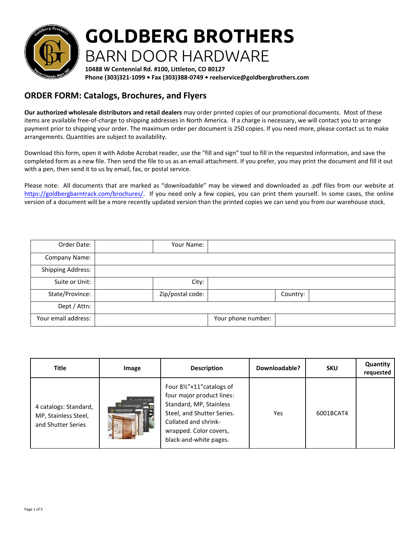

## **GOLDBERG BROTHERS** BARN DOOR HARDWARE

**10488 W Centennial Rd. #100, Littleton, CO 80127 Phone (303)321-1099 • Fax (303)388-0749 • reelservice@goldbergbrothers.com**

## **ORDER FORM: Catalogs, Brochures, and Flyers**

**Our authorized wholesale distributors and retail dealers** may order printed copies of our promotional documents. Most of these items are available free-of-charge to shipping addresses in North America. If a charge is necessary, we will contact you to arrange payment prior to shipping your order. The maximum order per document is 250 copies. If you need more, please contact us to make arrangements. Quantities are subject to availability.

Download this form, open it with Adobe Acrobat reader, use the "fill and sign" tool to fill in the requested information, and save the completed form as a new file. Then send the file to us as an email attachment. If you prefer, you may print the document and fill it out with a pen, then send it to us by email, fax, or postal service.

Please note: All documents that are marked as "downloadable" may be viewed and downloaded as .pdf files from our website at https://goldbergbarntrack.com/brochures/. If you need only a few copies, you can print them yourself. In some cases, the online [version of a document will be a more recent](https://goldbergbarntrack.com/brochures/)ly updated version than the printed copies we can send you from our warehouse stock.

| Your email address:      |                  | Your phone number: |          |  |
|--------------------------|------------------|--------------------|----------|--|
| Dept / Attn:             |                  |                    |          |  |
| State/Province:          | Zip/postal code: |                    | Country: |  |
| Suite or Unit:           | City:            |                    |          |  |
| <b>Shipping Address:</b> |                  |                    |          |  |
| Company Name:            |                  |                    |          |  |
| Order Date:              | Your Name:       |                    |          |  |

| <b>Title</b>                                                        | Image                                                                                                                                              | <b>Description</b>                                                                                                                                                                         | Downloadable? | <b>SKU</b> | Quantity<br>requested |
|---------------------------------------------------------------------|----------------------------------------------------------------------------------------------------------------------------------------------------|--------------------------------------------------------------------------------------------------------------------------------------------------------------------------------------------|---------------|------------|-----------------------|
| 4 catalogs: Standard,<br>MP, Stainless Steel,<br>and Shutter Series | <b>CO.</b> countries another<br>COLDBERG BROTHERS<br>COLDSERG BROTHERS<br><b><i><u><i><u><b>District ART SERIES / ATtaches</b></u></i></u></i></b> | Four 8½"×11" catalogs of<br>four major product lines:<br>Standard, MP, Stainless<br>Steel, and Shutter Series.<br>Collated and shrink-<br>wrapped. Color covers,<br>black-and-white pages. | Yes           | 6001BCAT4  |                       |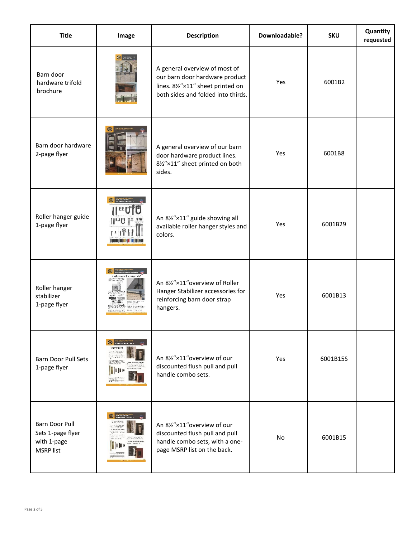| <b>Title</b>                                                           | Image                                                                    | <b>Description</b>                                                                                                                         | Downloadable? | <b>SKU</b> | Quantity<br>requested |
|------------------------------------------------------------------------|--------------------------------------------------------------------------|--------------------------------------------------------------------------------------------------------------------------------------------|---------------|------------|-----------------------|
| Barn door<br>hardware trifold<br>brochure                              |                                                                          | A general overview of most of<br>our barn door hardware product<br>lines. 81/2"×11" sheet printed on<br>both sides and folded into thirds. | Yes           | 6001B2     |                       |
| Barn door hardware<br>2-page flyer                                     | 通                                                                        | A general overview of our barn<br>door hardware product lines.<br>81/2"×11" sheet printed on both<br>sides.                                | Yes           | 6001B8     |                       |
| Roller hanger guide<br>1-page flyer                                    | $\mathbf{H}$<br>ستاتا للننا،                                             | An 8½"×11" guide showing all<br>available roller hanger styles and<br>colors.                                                              | Yes           | 6001B29    |                       |
| Roller hanger<br>stabilizer<br>1-page flyer                            | Finally, a cure for hange                                                | An 81/2"×11" overview of Roller<br>Hanger Stabilizer accessories for<br>reinforcing barn door strap<br>hangers.                            | Yes           | 6001B13    |                       |
| <b>Barn Door Pull Sets</b><br>1-page flyer                             | <b>CON PARTICULAR ENTERED BARNIDOOR PULL SETS</b><br>on a group being of | An 81/2"×11" overview of our<br>discounted flush pull and pull<br>handle combo sets.                                                       | Yes           | 6001B15S   |                       |
| Barn Door Pull<br>Sets 1-page flyer<br>with 1-page<br><b>MSRP</b> list |                                                                          | An 81/2"×11" overview of our<br>discounted flush pull and pull<br>handle combo sets, with a one-<br>page MSRP list on the back.            | No            | 6001B15    |                       |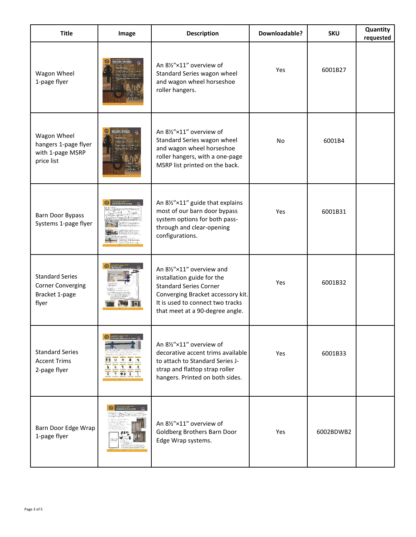| <b>Title</b>                                                                  | Image                           | <b>Description</b>                                                                                                                                                                                   | Downloadable? | <b>SKU</b> | Quantity<br>requested |
|-------------------------------------------------------------------------------|---------------------------------|------------------------------------------------------------------------------------------------------------------------------------------------------------------------------------------------------|---------------|------------|-----------------------|
| Wagon Wheel<br>1-page flyer                                                   | <i>IROON WHEEL</i>              | An 81/2"×11" overview of<br>Standard Series wagon wheel<br>and wagon wheel horseshoe<br>roller hangers.                                                                                              | Yes           | 6001B27    |                       |
| Wagon Wheel<br>hangers 1-page flyer<br>with 1-page MSRP<br>price list         |                                 | An 81/2"×11" overview of<br>Standard Series wagon wheel<br>and wagon wheel horseshoe<br>roller hangers, with a one-page<br>MSRP list printed on the back.                                            | <b>No</b>     | 6001B4     |                       |
| Barn Door Bypass<br>Systems 1-page flyer                                      |                                 | An 8½"×11" guide that explains<br>most of our barn door bypass<br>system options for both pass-<br>through and clear-opening<br>configurations.                                                      | Yes           | 6001B31    |                       |
| <b>Standard Series</b><br><b>Corner Converging</b><br>Bracket 1-page<br>flyer |                                 | An 81/2"×11" overview and<br>installation guide for the<br><b>Standard Series Corner</b><br>Converging Bracket accessory kit.<br>It is used to connect two tracks<br>that meet at a 90-degree angle. | Yes           | 6001B32    |                       |
| <b>Standard Series</b><br><b>Accent Trims</b><br>2-page flyer                 | ● 3 3 3 4 4<br>$898t$<br>7.44.1 | An 81/2"×11" overview of<br>decorative accent trims available<br>to attach to Standard Series J-<br>strap and flattop strap roller<br>hangers. Printed on both sides.                                | Yes           | 6001B33    |                       |
| Barn Door Edge Wrap<br>1-page flyer                                           |                                 | An 81/2"×11" overview of<br>Goldberg Brothers Barn Door<br>Edge Wrap systems.                                                                                                                        | Yes           | 6002BDWB2  |                       |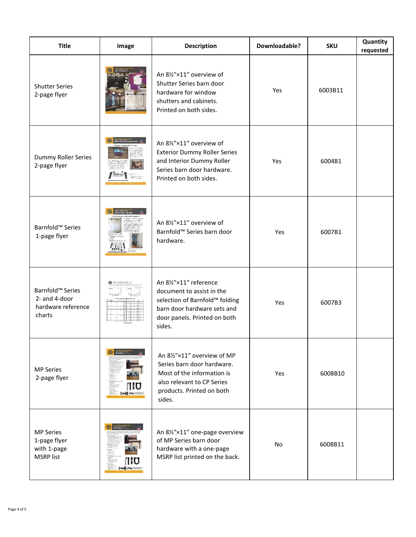| <b>Title</b>                                                                  | Image                                 | <b>Description</b>                                                                                                                                             | Downloadable? | <b>SKU</b> | Quantity<br>requested |
|-------------------------------------------------------------------------------|---------------------------------------|----------------------------------------------------------------------------------------------------------------------------------------------------------------|---------------|------------|-----------------------|
| <b>Shutter Series</b><br>2-page flyer                                         |                                       | An 81/2"×11" overview of<br>Shutter Series barn door<br>hardware for window<br>shutters and cabinets.<br>Printed on both sides.                                | Yes           | 6003B11    |                       |
| Dummy Roller Series<br>2-page flyer                                           | Hillyw                                | An 81/2"×11" overview of<br><b>Exterior Dummy Roller Series</b><br>and Interior Dummy Roller<br>Series barn door hardware.<br>Printed on both sides.           | Yes           | 6004B1     |                       |
| Barnfold <sup>™</sup> Series<br>1-page flyer                                  |                                       | An 81/2"×11" overview of<br>Barnfold™ Series barn door<br>hardware.                                                                                            | Yes           | 6007B1     |                       |
| Barnfold <sup>™</sup> Series<br>2- and 4-door<br>hardware reference<br>charts |                                       | An 81/2"×11" reference<br>document to assist in the<br>selection of Barnfold™ folding<br>barn door hardware sets and<br>door panels. Printed on both<br>sides. | Yes           | 6007B3     |                       |
| <b>MP Series</b><br>2-page flyer                                              | $\odot$ where<br>HO<br>(m  )          | An 81/2"×11" overview of MP<br>Series barn door hardware.<br>Most of the information is<br>also relevant to CP Series<br>products. Printed on both<br>sides.   | Yes           | 6008B10    |                       |
| <b>MP Series</b><br>1-page flyer<br>with 1-page<br><b>MSRP</b> list           | $\odot$ $\cdots$<br>$\ u\ $ ) $\ u\ $ | An 8½"×11" one-page overview<br>of MP Series barn door<br>hardware with a one-page<br>MSRP list printed on the back.                                           | No            | 6008B11    |                       |